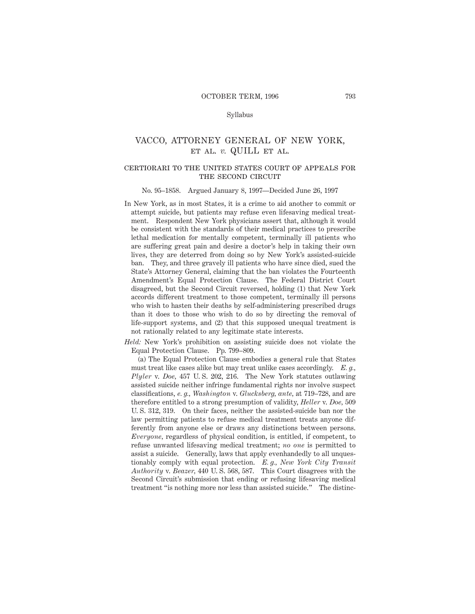### Syllabus

# VACCO, ATTORNEY GENERAL OF NEW YORK, et al. *v.* QUILL et al.

### certiorari to the united states court of appeals forTHE SECOND CIRCUIT

#### No. 95–1858. Argued January 8, 1997—Decided June 26, 1997

In New York, as in most States, it is a crime to aid another to commit or attempt suicide, but patients may refuse even lifesaving medical treatment. Respondent New York physicians assert that, although it would be consistent with the standards of their medical practices to prescribe lethal medication for mentally competent, terminally ill patients who are suffering great pain and desire a doctor's help in taking their own lives, they are deterred from doing so by New York's assisted-suicide ban. They, and three gravely ill patients who have since died, sued the State's Attorney General, claiming that the ban violates the Fourteenth Amendment's Equal Protection Clause. The Federal District Court disagreed, but the Second Circuit reversed, holding (1) that New York accords different treatment to those competent, terminally ill persons who wish to hasten their deaths by self-administering prescribed drugs than it does to those who wish to do so by directing the removal of life-support systems, and (2) that this supposed unequal treatment is not rationally related to any legitimate state interests.

*Held:* New York's prohibition on assisting suicide does not violate the Equal Protection Clause. Pp. 799–809.

(a) The Equal Protection Clause embodies a general rule that States must treat like cases alike but may treat unlike cases accordingly. *E. g., Plyler* v. *Doe,* 457 U. S. 202, 216. The New York statutes outlawing assisted suicide neither infringe fundamental rights nor involve suspect classifications, *e. g., Washington* v. *Glucksberg, ante,* at 719–728, and are therefore entitled to a strong presumption of validity, *Heller* v. *Doe,* 509 U. S. 312, 319. On their faces, neither the assisted-suicide ban nor the law permitting patients to refuse medical treatment treats anyone differently from anyone else or draws any distinctions between persons. *Everyone,* regardless of physical condition, is entitled, if competent, to refuse unwanted lifesaving medical treatment; *no one* is permitted to assist a suicide. Generally, laws that apply evenhandedly to all unquestionably comply with equal protection. *E. g., New York City Transit Authority* v. *Beazer,* 440 U. S. 568, 587. This Court disagrees with the Second Circuit's submission that ending or refusing lifesaving medical treatment "is nothing more nor less than assisted suicide." The distinc-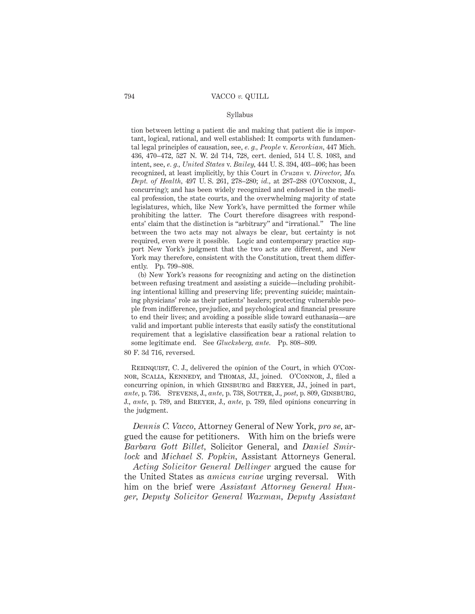### Syllabus

tion between letting a patient die and making that patient die is important, logical, rational, and well established: It comports with fundamental legal principles of causation, see, *e. g., People* v. *Kevorkian,* 447 Mich. 436, 470–472, 527 N. W. 2d 714, 728, cert. denied, 514 U. S. 1083, and intent, see, *e. g., United States* v. *Bailey,* 444 U. S. 394, 403–406; has been recognized, at least implicitly, by this Court in *Cruzan* v. *Director, Mo. Dept. of Health,* 497 U. S. 261, 278–280; *id.,* at 287–288 (O'Connor, J., concurring); and has been widely recognized and endorsed in the medical profession, the state courts, and the overwhelming majority of state legislatures, which, like New York's, have permitted the former while prohibiting the latter. The Court therefore disagrees with respondents' claim that the distinction is "arbitrary" and "irrational." The line between the two acts may not always be clear, but certainty is not required, even were it possible. Logic and contemporary practice support New York's judgment that the two acts are different, and New York may therefore, consistent with the Constitution, treat them differently. Pp. 799–808.

(b) New York's reasons for recognizing and acting on the distinction between refusing treatment and assisting a suicide—including prohibiting intentional killing and preserving life; preventing suicide; maintaining physicians' role as their patients' healers; protecting vulnerable people from indifference, prejudice, and psychological and financial pressure to end their lives; and avoiding a possible slide toward euthanasia—are valid and important public interests that easily satisfy the constitutional requirement that a legislative classification bear a rational relation to some legitimate end. See *Glucksberg, ante.* Pp. 808–809.

80 F. 3d 716, reversed.

REHNQUIST, C. J., delivered the opinion of the Court, in which O'Connor, Scalia, Kennedy, and Thomas, JJ., joined. O'Connor, J., filed a concurring opinion, in which Ginsburg and Breyer, JJ., joined in part, *ante,* p. 736. Stevens, J., *ante,* p. 738, Souter, J., *post,* p. 809, Ginsburg, J., *ante,* p. 789, and Breyer, J., *ante,* p. 789, filed opinions concurring in the judgment.

*Dennis C. Vacco,* Attorney General of New York, *pro se,* argued the cause for petitioners. With him on the briefs were *Barbara Gott Billet,* Solicitor General, and *Daniel Smirlock* and *Michael S. Popkin,* Assistant Attorneys General.

*Acting Solicitor General Dellinger* argued the cause for the United States as *amicus curiae* urging reversal. With him on the brief were *Assistant Attorney General Hunger, Deputy Solicitor General Waxman, Deputy Assistant*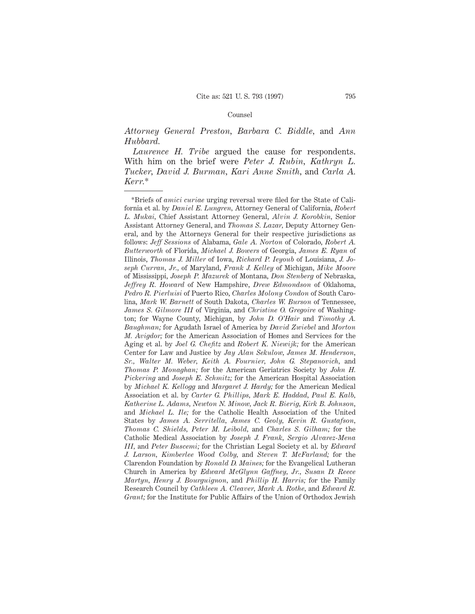#### Counsel

# *Attorney General Preston, Barbara C. Biddle,* and *Ann Hubbard.*

*Laurence H. Tribe* argued the cause for respondents. With him on the brief were *Peter J. Rubin, Kathryn L. Tucker, David J. Burman, Kari Anne Smith,* and *Carla A. Kerr.*\*

<sup>\*</sup>Briefs of *amici curiae* urging reversal were filed for the State of California et al. by *Daniel E. Lungren,* Attorney General of California, *Robert L. Mukai,* Chief Assistant Attorney General, *Alvin J. Korobkin,* Senior Assistant Attorney General, and *Thomas S. Lazar,* Deputy Attorney General, and by the Attorneys General for their respective jurisdictions as follows: *Jeff Sessions* of Alabama, *Gale A. Norton* of Colorado, *Robert A. Butterworth* of Florida, *Michael J. Bowers* of Georgia, *James E. Ryan* of Illinois, *Thomas J. Miller* of Iowa, *Richard P. Ieyoub* of Louisiana, *J. Joseph Curran, Jr.,* of Maryland, *Frank J. Kelley* of Michigan, *Mike Moore* of Mississippi, *Joseph P. Mazurek* of Montana, *Don Stenberg* of Nebraska, *Jeffrey R. Howard* of New Hampshire, *Drew Edmondson* of Oklahoma, *Pedro R. Pierluisi* of Puerto Rico, *Charles Molony Condon* of South Carolina, *Mark W. Barnett* of South Dakota, *Charles W. Burson* of Tennessee, *James S. Gilmore III* of Virginia, and *Christine O. Gregoire* of Washington; for Wayne County, Michigan, by *John D. O'Hair* and *Timothy A. Baughman;* for Agudath Israel of America by *David Zwiebel* and *Morton M. Avigdor;* for the American Association of Homes and Services for the Aging et al. by *Joel G. Chefitz* and *Robert K. Niewijk;* for the American Center for Law and Justice by *Jay Alan Sekulow, James M. Henderson, Sr., Walter M. Weber, Keith A. Fournier, John G. Stepanovich,* and *Thomas P. Monaghan;* for the American Geriatrics Society by *John H. Pickering* and *Joseph E. Schmitz;* for the American Hospital Association by *Michael K. Kellogg* and *Margaret J. Hardy;* for the American Medical Association et al. by *Carter G. Phillips, Mark E. Haddad, Paul E. Kalb, Katherine L. Adams, Newton N. Minow, Jack R. Bierig, Kirk B. Johnson,* and *Michael L. Ile;* for the Catholic Health Association of the United States by *James A. Serritella, James C. Geoly, Kevin R. Gustafson, Thomas C. Shields, Peter M. Leibold,* and *Charles S. Gilham;* for the Catholic Medical Association by *Joseph J. Frank, Sergio Alvarez-Mena III,* and *Peter Buscemi;* for the Christian Legal Society et al. by *Edward J. Larson, Kimberlee Wood Colby,* and *Steven T. McFarland;* for the Clarendon Foundation by *Ronald D. Maines;* for the Evangelical Lutheran Church in America by *Edward McGlynn Gaffney, Jr., Susan D. Reece Martyn, Henry J. Bourguignon,* and *Phillip H. Harris;* for the Family Research Council by *Cathleen A. Cleaver, Mark A. Rothe,* and *Edward R. Grant;* for the Institute for Public Affairs of the Union of Orthodox Jewish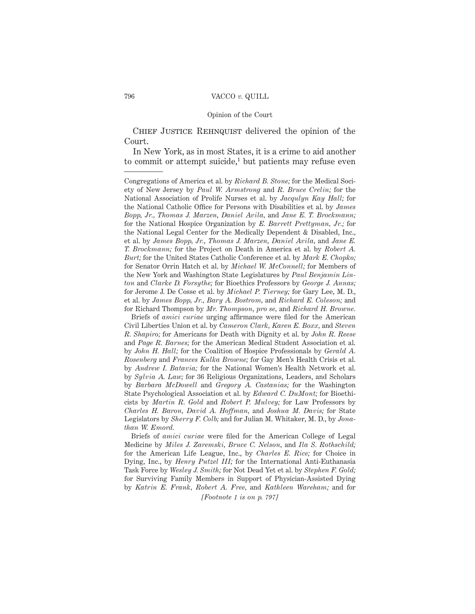#### Opinion of the Court

CHIEF JUSTICE REHNQUIST delivered the opinion of the Court.

In New York, as in most States, it is a crime to aid another to commit or attempt suicide,<sup>1</sup> but patients may refuse even

Briefs of *amici curiae* urging affirmance were filed for the American Civil Liberties Union et al. by *Cameron Clark, Karen E. Boxx,* and *Steven R. Shapiro;* for Americans for Death with Dignity et al. by *John R. Reese* and *Page R. Barnes;* for the American Medical Student Association et al. by *John H. Hall;* for the Coalition of Hospice Professionals by *Gerald A. Rosenberg* and *Frances Kulka Browne;* for Gay Men's Health Crisis et al. by *Andrew I. Batavia;* for the National Women's Health Network et al. by *Sylvia A. Law;* for 36 Religious Organizations, Leaders, and Scholars by *Barbara McDowell* and *Gregory A. Castanias;* for the Washington State Psychological Association et al. by *Edward C. DuMont;* for Bioethicists by *Martin R. Gold* and *Robert P. Mulvey;* for Law Professors by *Charles H. Baron, David A. Hoffman,* and *Joshua M. Davis;* for State Legislators by *Sherry F. Colb;* and for Julian M. Whitaker, M. D., by *Jonathan W. Emord.*

Briefs of *amici curiae* were filed for the American College of Legal Medicine by *Miles J. Zaremski, Bruce C. Nelson,* and *Ila S. Rothschild;* for the American Life League, Inc., by *Charles E. Rice;* for Choice in Dying, Inc., by *Henry Putzel III;* for the International Anti-Euthanasia Task Force by *Wesley J. Smith;* for Not Dead Yet et al. by *Stephen F. Gold;* for Surviving Family Members in Support of Physician-Assisted Dying by *Katrin E. Frank, Robert A. Free,* and *Kathleen Wareham;* and for

*[Footnote 1 is on p. 797]*

Congregations of America et al. by *Richard B. Stone;* for the Medical Society of New Jersey by *Paul W. Armstrong* and *R. Bruce Crelin;* for the National Association of Prolife Nurses et al. by *Jacqulyn Kay Hall;* for the National Catholic Office for Persons with Disabilities et al. by *James Bopp, Jr., Thomas J. Marzen, Daniel Avila,* and *Jane E. T. Brockmann;* for the National Hospice Organization by *E. Barrett Prettyman, Jr.;* for the National Legal Center for the Medically Dependent & Disabled, Inc., et al. by *James Bopp, Jr., Thomas J. Marzen, Daniel Avila,* and *Jane E. T. Brockmann;* for the Project on Death in America et al. by *Robert A. Burt;* for the United States Catholic Conference et al. by *Mark E. Chopko;* for Senator Orrin Hatch et al. by *Michael W. McConnell;* for Members of the New York and Washington State Legislatures by *Paul Benjamin Linton* and *Clarke D. Forsythe;* for Bioethics Professors by *George J. Annas;* for Jerome J. De Cosse et al. by *Michael P. Tierney;* for Gary Lee, M. D., et al. by *James Bopp, Jr., Bary A. Bostrom,* and *Richard E. Coleson;* and for Richard Thompson by *Mr. Thompson, pro se,* and *Richard H. Browne.*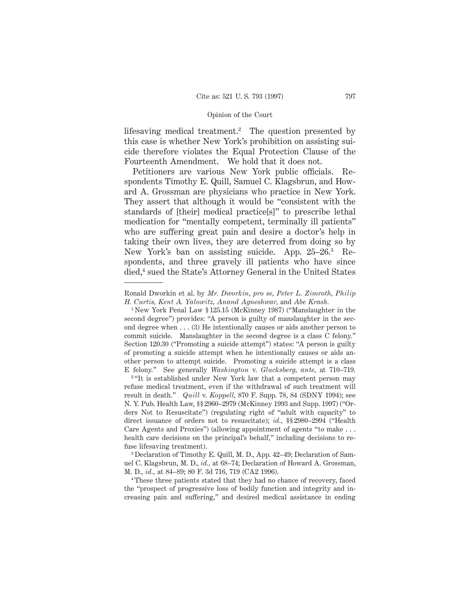lifesaving medical treatment.<sup>2</sup> The question presented by this case is whether New York's prohibition on assisting suicide therefore violates the Equal Protection Clause of the Fourteenth Amendment. We hold that it does not.

Petitioners are various New York public officials. Respondents Timothy E. Quill, Samuel C. Klagsbrun, and Howard A. Grossman are physicians who practice in New York. They assert that although it would be "consistent with the standards of [their] medical practice[s]" to prescribe lethal medication for "mentally competent, terminally ill patients" who are suffering great pain and desire a doctor's help in taking their own lives, they are deterred from doing so by New York's ban on assisting suicide. App. 25–26.3 Respondents, and three gravely ill patients who have since died,4 sued the State's Attorney General in the United States

<sup>4</sup> These three patients stated that they had no chance of recovery, faced the "prospect of progressive loss of bodily function and integrity and increasing pain and suffering," and desired medical assistance in ending

Ronald Dworkin et al. by *Mr. Dworkin, pro se, Peter L. Zimroth, Philip H. Curtis, Kent A. Yalowitz, Anand Agneshwar,* and *Abe Krash.*

<sup>1</sup> New York Penal Law § 125.15 (McKinney 1987) ("Manslaughter in the second degree") provides: "A person is guilty of manslaughter in the second degree when . . . (3) He intentionally causes or aids another person to commit suicide. Manslaughter in the second degree is a class C felony." Section 120.30 ("Promoting a suicide attempt") states: "A person is guilty of promoting a suicide attempt when he intentionally causes or aids another person to attempt suicide. Promoting a suicide attempt is a class E felony." See generally *Washington* v. *Glucksberg, ante,* at 710–719.

<sup>&</sup>lt;sup>2</sup>"It is established under New York law that a competent person may refuse medical treatment, even if the withdrawal of such treatment will result in death." *Quill* v. *Koppell,* 870 F. Supp. 78, 84 (SDNY 1994); see N. Y. Pub. Health Law, §§ 2960–2979 (McKinney 1993 and Supp. 1997) ("Orders Not to Resuscitate") (regulating right of "adult with capacity" to direct issuance of orders not to resuscitate); *id.,* §§ 2980–2994 ("Health Care Agents and Proxies") (allowing appointment of agents "to make... health care decisions on the principal's behalf," including decisions to refuse lifesaving treatment).

<sup>&</sup>lt;sup>3</sup> Declaration of Timothy E. Quill, M. D., App. 42-49; Declaration of Samuel C. Klagsbrun, M. D., *id.,* at 68–74; Declaration of Howard A. Grossman, M. D., *id.,* at 84–89; 80 F. 3d 716, 719 (CA2 1996).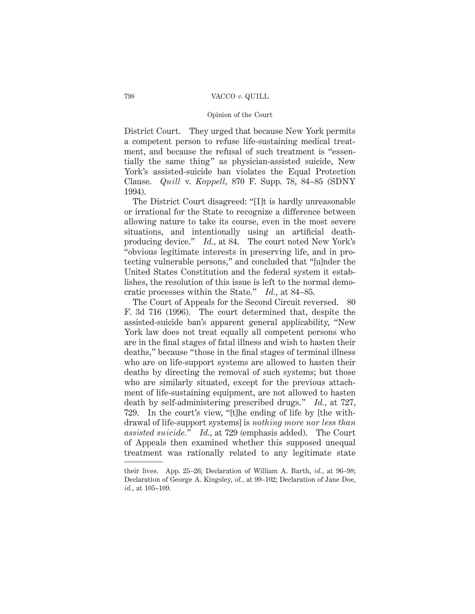### Opinion of the Court

District Court. They urged that because New York permits a competent person to refuse life-sustaining medical treatment, and because the refusal of such treatment is "essentially the same thing" as physician-assisted suicide, New York's assisted-suicide ban violates the Equal Protection Clause. *Quill* v. *Koppell,* 870 F. Supp. 78, 84–85 (SDNY 1994).

The District Court disagreed: "[I]t is hardly unreasonable or irrational for the State to recognize a difference between allowing nature to take its course, even in the most severe situations, and intentionally using an artificial deathproducing device." *Id.,* at 84. The court noted New York's "obvious legitimate interests in preserving life, and in protecting vulnerable persons," and concluded that "[u]nder the United States Constitution and the federal system it establishes, the resolution of this issue is left to the normal democratic processes within the State." *Id.,* at 84–85.

The Court of Appeals for the Second Circuit reversed. 80 F. 3d 716 (1996). The court determined that, despite the assisted-suicide ban's apparent general applicability, "New York law does not treat equally all competent persons who are in the final stages of fatal illness and wish to hasten their deaths," because "those in the final stages of terminal illness who are on life-support systems are allowed to hasten their deaths by directing the removal of such systems; but those who are similarly situated, except for the previous attachment of life-sustaining equipment, are not allowed to hasten death by self-administering prescribed drugs." *Id.,* at 727, 729. In the court's view, "[t]he ending of life by [the withdrawal of life-support systems] is *nothing more nor less than assisted suicide.*" *Id.,* at 729 (emphasis added). The Court of Appeals then examined whether this supposed unequal treatment was rationally related to any legitimate state

their lives. App. 25–26; Declaration of William A. Barth, *id.,* at 96–98; Declaration of George A. Kingsley, *id.,* at 99–102; Declaration of Jane Doe, *id.,* at 105–109.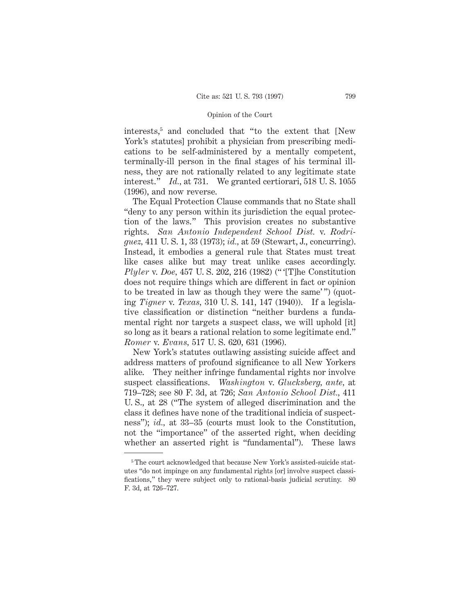interests,<sup>5</sup> and concluded that "to the extent that [New York's statutes] prohibit a physician from prescribing medications to be self-administered by a mentally competent, terminally-ill person in the final stages of his terminal illness, they are not rationally related to any legitimate state interest." *Id.,* at 731. We granted certiorari, 518 U. S. 1055 (1996), and now reverse.

The Equal Protection Clause commands that no State shall "deny to any person within its jurisdiction the equal protection of the laws." This provision creates no substantive rights. *San Antonio Independent School Dist.* v. *Rodriguez,* 411 U. S. 1, 33 (1973); *id.,* at 59 (Stewart, J., concurring). Instead, it embodies a general rule that States must treat like cases alike but may treat unlike cases accordingly. *Plyler* v. *Doe,* 457 U. S. 202, 216 (1982) (" '[T]he Constitution does not require things which are different in fact or opinion to be treated in law as though they were the same'") (quoting *Tigner* v. *Texas,* 310 U. S. 141, 147 (1940)). If a legislative classification or distinction "neither burdens a fundamental right nor targets a suspect class, we will uphold [it] so long as it bears a rational relation to some legitimate end." *Romer* v. *Evans,* 517 U. S. 620, 631 (1996).

New York's statutes outlawing assisting suicide affect and address matters of profound significance to all New Yorkers alike. They neither infringe fundamental rights nor involve suspect classifications. *Washington* v. *Glucksberg, ante,* at 719–728; see 80 F. 3d, at 726; *San Antonio School Dist.,* 411 U. S., at 28 ("The system of alleged discrimination and the class it defines have none of the traditional indicia of suspectness"); *id.,* at 33–35 (courts must look to the Constitution, not the "importance" of the asserted right, when deciding whether an asserted right is "fundamental"). These laws

<sup>5</sup> The court acknowledged that because New York's assisted-suicide statutes "do not impinge on any fundamental rights [or] involve suspect classifications," they were subject only to rational-basis judicial scrutiny. 80 F. 3d, at 726–727.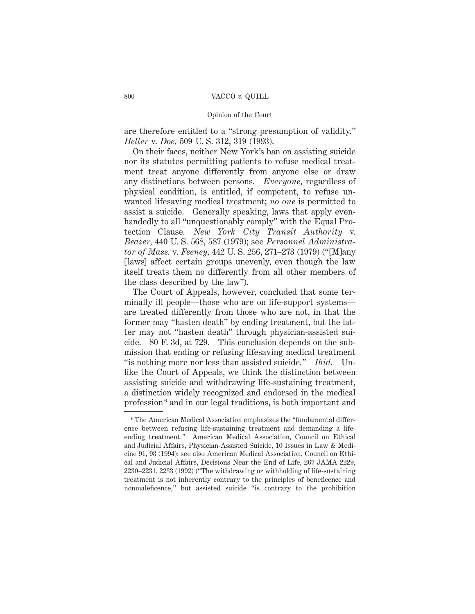### Opinion of the Court

are therefore entitled to a "strong presumption of validity." *Heller* v. *Doe,* 509 U. S. 312, 319 (1993).

On their faces, neither New York's ban on assisting suicide nor its statutes permitting patients to refuse medical treatment treat anyone differently from anyone else or draw any distinctions between persons. *Everyone,* regardless of physical condition, is entitled, if competent, to refuse unwanted lifesaving medical treatment; *no one* is permitted to assist a suicide. Generally speaking, laws that apply evenhandedly to all "unquestionably comply" with the Equal Protection Clause. *New York City Transit Authority* v. *Beazer,* 440 U. S. 568, 587 (1979); see *Personnel Administrator of Mass.* v. *Feeney,* 442 U. S. 256, 271–273 (1979) ("[M]any [laws] affect certain groups unevenly, even though the law itself treats them no differently from all other members of the class described by the law").

The Court of Appeals, however, concluded that some terminally ill people—those who are on life-support systems are treated differently from those who are not, in that the former may "hasten death" by ending treatment, but the latter may not "hasten death" through physician-assisted suicide. 80 F. 3d, at 729. This conclusion depends on the submission that ending or refusing lifesaving medical treatment "is nothing more nor less than assisted suicide." *Ibid.* Unlike the Court of Appeals, we think the distinction between assisting suicide and withdrawing life-sustaining treatment, a distinction widely recognized and endorsed in the medical profession <sup>6</sup> and in our legal traditions, is both important and

<sup>&</sup>lt;sup>6</sup> The American Medical Association emphasizes the "fundamental difference between refusing life-sustaining treatment and demanding a lifeending treatment." American Medical Association, Council on Ethical and Judicial Affairs, Physician-Assisted Suicide, 10 Issues in Law & Medicine 91, 93 (1994); see also American Medical Association, Council on Ethical and Judicial Affairs, Decisions Near the End of Life, 267 JAMA 2229, 2230–2231, 2233 (1992) ("The withdrawing or withholding of life-sustaining treatment is not inherently contrary to the principles of beneficence and nonmaleficence," but assisted suicide "is contrary to the prohibition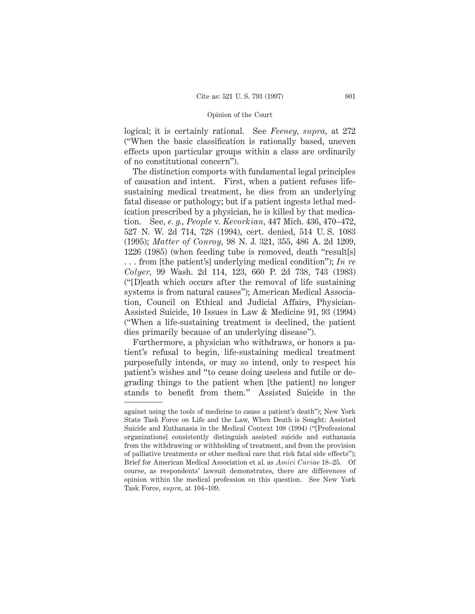logical; it is certainly rational. See *Feeney, supra,* at 272 ("When the basic classification is rationally based, uneven effects upon particular groups within a class are ordinarily of no constitutional concern").

The distinction comports with fundamental legal principles of causation and intent. First, when a patient refuses lifesustaining medical treatment, he dies from an underlying fatal disease or pathology; but if a patient ingests lethal medication prescribed by a physician, he is killed by that medication. See, *e. g., People* v. *Kevorkian,* 447 Mich. 436, 470–472, 527 N. W. 2d 714, 728 (1994), cert. denied, 514 U. S. 1083 (1995); *Matter of Conroy,* 98 N. J. 321, 355, 486 A. 2d 1209, 1226 (1985) (when feeding tube is removed, death "result[s] . . . from [the patient's] underlying medical condition"); *In re Colyer,* 99 Wash. 2d 114, 123, 660 P. 2d 738, 743 (1983) ("[D]eath which occurs after the removal of life sustaining systems is from natural causes"); American Medical Association, Council on Ethical and Judicial Affairs, Physician-Assisted Suicide, 10 Issues in Law & Medicine 91, 93 (1994) ("When a life-sustaining treatment is declined, the patient dies primarily because of an underlying disease").

Furthermore, a physician who withdraws, or honors a patient's refusal to begin, life-sustaining medical treatment purposefully intends, or may so intend, only to respect his patient's wishes and "to cease doing useless and futile or degrading things to the patient when [the patient] no longer stands to benefit from them." Assisted Suicide in the

against using the tools of medicine to cause a patient's death"); New York State Task Force on Life and the Law, When Death is Sought: Assisted Suicide and Euthanasia in the Medical Context 108 (1994) ("[Professional organizations] consistently distinguish assisted suicide and euthanasia from the withdrawing or withholding of treatment, and from the provision of palliative treatments or other medical care that risk fatal side effects"); Brief for American Medical Association et al. as *Amici Curiae* 18–25. Of course, as respondents' lawsuit demonstrates, there are differences of opinion within the medical profession on this question. See New York Task Force, *supra,* at 104–109.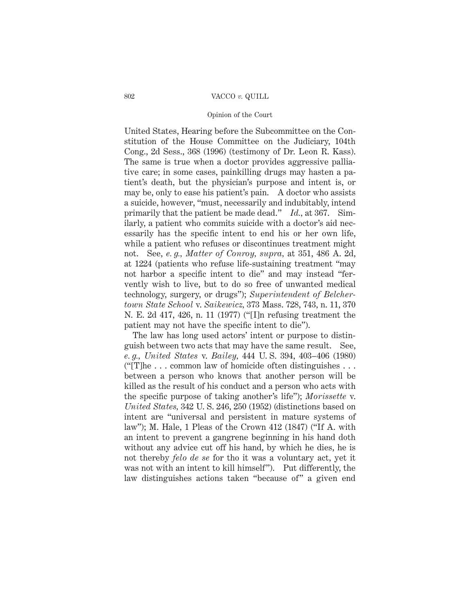# Opinion of the Court

United States, Hearing before the Subcommittee on the Constitution of the House Committee on the Judiciary, 104th Cong., 2d Sess., 368 (1996) (testimony of Dr. Leon R. Kass). The same is true when a doctor provides aggressive palliative care; in some cases, painkilling drugs may hasten a patient's death, but the physician's purpose and intent is, or may be, only to ease his patient's pain. A doctor who assists a suicide, however, "must, necessarily and indubitably, intend primarily that the patient be made dead." *Id.,* at 367. Similarly, a patient who commits suicide with a doctor's aid necessarily has the specific intent to end his or her own life, while a patient who refuses or discontinues treatment might not. See, *e. g., Matter of Conroy, supra,* at 351, 486 A. 2d, at 1224 (patients who refuse life-sustaining treatment "may not harbor a specific intent to die" and may instead "fervently wish to live, but to do so free of unwanted medical technology, surgery, or drugs"); *Superintendent of Belchertown State School* v. *Saikewicz,* 373 Mass. 728, 743, n. 11, 370 N. E. 2d 417, 426, n. 11 (1977) ("[I]n refusing treatment the patient may not have the specific intent to die").

The law has long used actors' intent or purpose to distinguish between two acts that may have the same result. See, *e. g., United States* v. *Bailey,* 444 U. S. 394, 403–406 (1980) (" $[T]$ he... common law of homicide often distinguishes... between a person who knows that another person will be killed as the result of his conduct and a person who acts with the specific purpose of taking another's life"); *Morissette* v. *United States,* 342 U. S. 246, 250 (1952) (distinctions based on intent are "universal and persistent in mature systems of law"); M. Hale, 1 Pleas of the Crown 412 (1847) ("If A. with an intent to prevent a gangrene beginning in his hand doth without any advice cut off his hand, by which he dies, he is not thereby *felo de se* for tho it was a voluntary act, yet it was not with an intent to kill himself"). Put differently, the law distinguishes actions taken "because of" a given end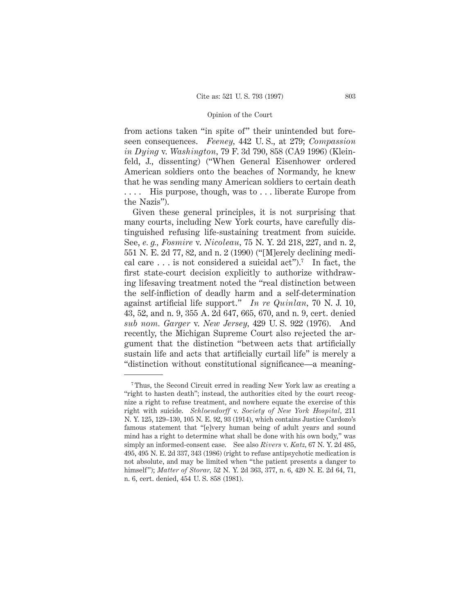from actions taken "in spite of" their unintended but foreseen consequences. *Feeney,* 442 U. S., at 279; *Compassion in Dying* v. *Washington,* 79 F. 3d 790, 858 (CA9 1996) (Kleinfeld, J., dissenting) ("When General Eisenhower ordered American soldiers onto the beaches of Normandy, he knew that he was sending many American soldiers to certain death . . . . His purpose, though, was to . . . liberate Europe from the Nazis").

Given these general principles, it is not surprising that many courts, including New York courts, have carefully distinguished refusing life-sustaining treatment from suicide. See, *e. g., Fosmire* v. *Nicoleau,* 75 N. Y. 2d 218, 227, and n. 2, 551 N. E. 2d 77, 82, and n. 2 (1990) ("[M]erely declining medical care  $\dots$  is not considered a suicidal act").<sup>7</sup> In fact, the first state-court decision explicitly to authorize withdrawing lifesaving treatment noted the "real distinction between the self-infliction of deadly harm and a self-determination against artificial life support." *In re Quinlan,* 70 N. J. 10, 43, 52, and n. 9, 355 A. 2d 647, 665, 670, and n. 9, cert. denied *sub nom. Garger* v. *New Jersey,* 429 U. S. 922 (1976). And recently, the Michigan Supreme Court also rejected the argument that the distinction "between acts that artificially sustain life and acts that artificially curtail life" is merely a "distinction without constitutional significance—a meaning-

<sup>7</sup> Thus, the Second Circuit erred in reading New York law as creating a "right to hasten death"; instead, the authorities cited by the court recognize a right to refuse treatment, and nowhere equate the exercise of this right with suicide. *Schloendorff* v. *Society of New York Hospital,* 211 N. Y. 125, 129–130, 105 N. E. 92, 93 (1914), which contains Justice Cardozo's famous statement that "[e]very human being of adult years and sound mind has a right to determine what shall be done with his own body," was simply an informed-consent case. See also *Rivers* v. *Katz,* 67 N. Y. 2d 485, 495, 495 N. E. 2d 337, 343 (1986) (right to refuse antipsychotic medication is not absolute, and may be limited when "the patient presents a danger to himself"); *Matter of Storar,* 52 N. Y. 2d 363, 377, n. 6, 420 N. E. 2d 64, 71, n. 6, cert. denied, 454 U. S. 858 (1981).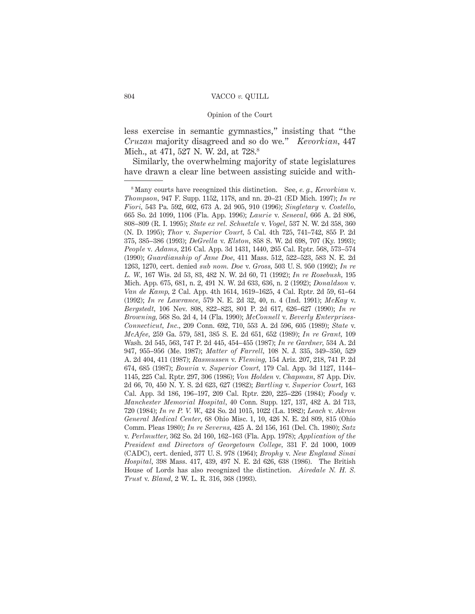less exercise in semantic gymnastics," insisting that "the *Cruzan* majority disagreed and so do we." *Kevorkian,* 447 Mich., at 471, 527 N. W. 2d, at 728.<sup>8</sup>

Similarly, the overwhelming majority of state legislatures have drawn a clear line between assisting suicide and with-

<sup>8</sup> Many courts have recognized this distinction. See, *e. g., Kevorkian* v. *Thompson,* 947 F. Supp. 1152, 1178, and nn. 20–21 (ED Mich. 1997); *In re Fiori,* 543 Pa. 592, 602, 673 A. 2d 905, 910 (1996); *Singletary* v. *Costello,* 665 So. 2d 1099, 1106 (Fla. App. 1996); *Laurie* v. *Senecal,* 666 A. 2d 806, 808–809 (R. I. 1995); *State ex rel. Schuetzle* v. *Vogel,* 537 N. W. 2d 358, 360 (N. D. 1995); *Thor* v. *Superior Court,* 5 Cal. 4th 725, 741–742, 855 P. 2d 375, 385–386 (1993); *DeGrella* v. *Elston,* 858 S. W. 2d 698, 707 (Ky. 1993); *People* v. *Adams,* 216 Cal. App. 3d 1431, 1440, 265 Cal. Rptr. 568, 573–574 (1990); *Guardianship of Jane Doe,* 411 Mass. 512, 522–523, 583 N. E. 2d 1263, 1270, cert. denied *sub nom. Doe* v. *Gross,* 503 U. S. 950 (1992); *In re L. W.,* 167 Wis. 2d 53, 83, 482 N. W. 2d 60, 71 (1992); *In re Rosebush,* 195 Mich. App. 675, 681, n. 2, 491 N. W. 2d 633, 636, n. 2 (1992); *Donaldson* v. *Van de Kamp,* 2 Cal. App. 4th 1614, 1619–1625, 4 Cal. Rptr. 2d 59, 61–64 (1992); *In re Lawrance,* 579 N. E. 2d 32, 40, n. 4 (Ind. 1991); *McKay* v. *Bergstedt,* 106 Nev. 808, 822–823, 801 P. 2d 617, 626–627 (1990); *In re Browning,* 568 So. 2d 4, 14 (Fla. 1990); *McConnell* v. *Beverly Enterprises-Connecticut, Inc.,* 209 Conn. 692, 710, 553 A. 2d 596, 605 (1989); *State* v. *McAfee,* 259 Ga. 579, 581, 385 S. E. 2d 651, 652 (1989); *In re Grant,* 109 Wash. 2d 545, 563, 747 P. 2d 445, 454–455 (1987); *In re Gardner,* 534 A. 2d 947, 955–956 (Me. 1987); *Matter of Farrell,* 108 N. J. 335, 349–350, 529 A. 2d 404, 411 (1987); *Rasmussen* v. *Fleming,* 154 Ariz. 207, 218, 741 P. 2d 674, 685 (1987); *Bouvia* v. *Superior Court,* 179 Cal. App. 3d 1127, 1144– 1145, 225 Cal. Rptr. 297, 306 (1986); *Von Holden* v. *Chapman,* 87 App. Div. 2d 66, 70, 450 N. Y. S. 2d 623, 627 (1982); *Bartling* v. *Superior Court,* 163 Cal. App. 3d 186, 196–197, 209 Cal. Rptr. 220, 225–226 (1984); *Foody* v. *Manchester Memorial Hospital,* 40 Conn. Supp. 127, 137, 482 A. 2d 713, 720 (1984); *In re P. V. W.,* 424 So. 2d 1015, 1022 (La. 1982); *Leach* v. *Akron General Medical Center,* 68 Ohio Misc. 1, 10, 426 N. E. 2d 809, 815 (Ohio Comm. Pleas 1980); *In re Severns,* 425 A. 2d 156, 161 (Del. Ch. 1980); *Satz* v. *Perlmutter,* 362 So. 2d 160, 162–163 (Fla. App. 1978); *Application of the President and Directors of Georgetown College,* 331 F. 2d 1000, 1009 (CADC), cert. denied, 377 U. S. 978 (1964); *Brophy* v. *New England Sinai Hospital,* 398 Mass. 417, 439, 497 N. E. 2d 626, 638 (1986). The British House of Lords has also recognized the distinction. *Airedale N. H. S. Trust* v. *Bland,* 2 W. L. R. 316, 368 (1993).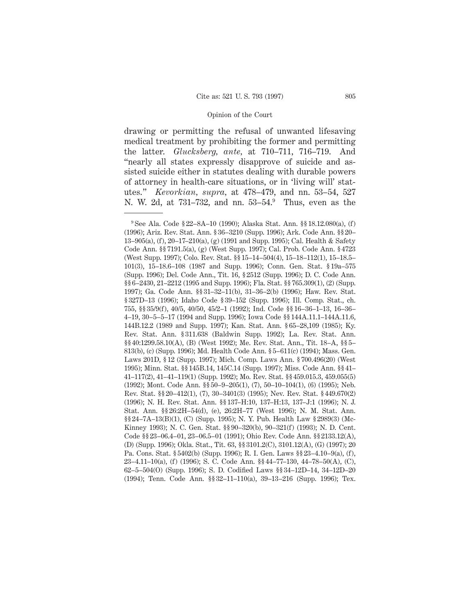drawing or permitting the refusal of unwanted lifesaving medical treatment by prohibiting the former and permitting the latter. *Glucksberg, ante,* at 710–711, 716–719. And "nearly all states expressly disapprove of suicide and assisted suicide either in statutes dealing with durable powers of attorney in health-care situations, or in 'living will' statutes." *Kevorkian, supra,* at 478–479, and nn. 53–54, 527 N. W. 2d, at 731–732, and nn. 53–54.<sup>9</sup> Thus, even as the

<sup>9</sup> See Ala. Code § 22–8A–10 (1990); Alaska Stat. Ann. §§ 18.12.080(a), (f) (1996); Ariz. Rev. Stat. Ann. § 36–3210 (Supp. 1996); Ark. Code Ann. §§ 20– 13–905(a), (f), 20–17–210(a), (g) (1991 and Supp. 1995); Cal. Health & Safety Code Ann. §§ 7191.5(a), (g) (West Supp. 1997); Cal. Prob. Code Ann. § 4723 (West Supp. 1997); Colo. Rev. Stat. §§ 15–14–504(4), 15–18–112(1), 15–18.5– 101(3), 15–18.6–108 (1987 and Supp. 1996); Conn. Gen. Stat. § 19a–575 (Supp. 1996); Del. Code Ann., Tit. 16, § 2512 (Supp. 1996); D. C. Code Ann. §§ 6-2430, 21-2212 (1995 and Supp. 1996); Fla. Stat. §§ 765.309(1), (2) (Supp. 1997); Ga. Code Ann. §§ 31–32–11(b), 31–36–2(b) (1996); Haw. Rev. Stat. § 327D–13 (1996); Idaho Code § 39–152 (Supp. 1996); Ill. Comp. Stat., ch. 755, §§ 35/9(f), 40/5, 40/50, 45/2–1 (1992); Ind. Code §§ 16–36–1–13, 16–36– 4–19, 30–5–5–17 (1994 and Supp. 1996); Iowa Code §§ 144A.11.1–144A.11.6, 144B.12.2 (1989 and Supp. 1997); Kan. Stat. Ann. § 65–28,109 (1985); Ky. Rev. Stat. Ann. § 311.638 (Baldwin Supp. 1992); La. Rev. Stat. Ann. §§ 40:1299.58.10(A), (B) (West 1992); Me. Rev. Stat. Ann., Tit. 18–A, §§ 5– 813(b), (c) (Supp. 1996); Md. Health Code Ann. § 5–611(c) (1994); Mass. Gen. Laws 201D, § 12 (Supp. 1997); Mich. Comp. Laws Ann. § 700.496(20) (West 1995); Minn. Stat. §§ 145B.14, 145C.14 (Supp. 1997); Miss. Code Ann. §§ 41– 41–117(2), 41–41–119(1) (Supp. 1992); Mo. Rev. Stat. §§ 459.015.3, 459.055(5) (1992); Mont. Code Ann. §§ 50–9–205(1), (7), 50–10–104(1), (6) (1995); Neb. Rev. Stat. §§ 20–412(1), (7), 30–3401(3) (1995); Nev. Rev. Stat. § 449.670(2) (1996); N. H. Rev. Stat. Ann. §§ 137–H:10, 137–H:13, 137–J:1 (1996); N. J. Stat. Ann. §§ 26:2H–54(d), (e), 26:2H–77 (West 1996); N. M. Stat. Ann. §§ 24–7A–13(B)(1), (C) (Supp. 1995); N. Y. Pub. Health Law § 2989(3) (Mc-Kinney 1993); N. C. Gen. Stat. §§ 90–320(b), 90–321(f) (1993); N. D. Cent. Code §§ 23–06.4–01, 23–06.5–01 (1991); Ohio Rev. Code Ann. §§ 2133.12(A), (D) (Supp. 1996); Okla. Stat., Tit. 63, §§ 3101.2(C), 3101.12(A), (G) (1997); 20 Pa. Cons. Stat. § 5402(b) (Supp. 1996); R. I. Gen. Laws §§ 23–4.10–9(a), (f), 23–4.11–10(a), (f) (1996); S. C. Code Ann. §§ 44–77–130, 44–78–50(A), (C), 62–5–504(O) (Supp. 1996); S. D. Codified Laws §§ 34–12D–14, 34–12D–20 (1994); Tenn. Code Ann. §§ 32–11–110(a), 39–13–216 (Supp. 1996); Tex.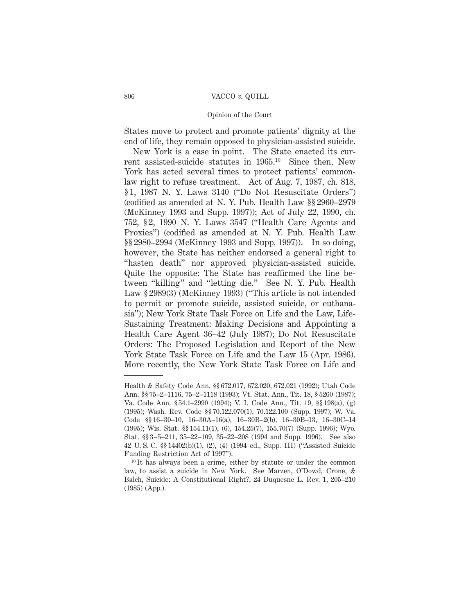# Opinion of the Court

States move to protect and promote patients' dignity at the end of life, they remain opposed to physician-assisted suicide.

New York is a case in point. The State enacted its current assisted-suicide statutes in 1965.10 Since then, New York has acted several times to protect patients' commonlaw right to refuse treatment. Act of Aug. 7, 1987, ch. 818, § 1, 1987 N. Y. Laws 3140 ("Do Not Resuscitate Orders") (codified as amended at N. Y. Pub. Health Law §§ 2960–2979 (McKinney 1993 and Supp. 1997)); Act of July 22, 1990, ch. 752, § 2, 1990 N. Y. Laws 3547 ("Health Care Agents and Proxies") (codified as amended at N. Y. Pub. Health Law §§ 2980–2994 (McKinney 1993 and Supp. 1997)). In so doing, however, the State has neither endorsed a general right to "hasten death" nor approved physician-assisted suicide. Quite the opposite: The State has reaffirmed the line between "killing" and "letting die." See N. Y. Pub. Health Law § 2989(3) (McKinney 1993) ("This article is not intended to permit or promote suicide, assisted suicide, or euthanasia"); New York State Task Force on Life and the Law, Life-Sustaining Treatment: Making Decisions and Appointing a Health Care Agent 36–42 (July 1987); Do Not Resuscitate Orders: The Proposed Legislation and Report of the New York State Task Force on Life and the Law 15 (Apr. 1986). More recently, the New York State Task Force on Life and

Health & Safety Code Ann. §§ 672.017, 672.020, 672.021 (1992); Utah Code Ann. §§ 75–2–1116, 75–2–1118 (1993); Vt. Stat. Ann., Tit. 18, § 5260 (1987); Va. Code Ann. § 54.1–2990 (1994); V. I. Code Ann., Tit. 19, §§ 198(a), (g) (1995); Wash. Rev. Code §§ 70.122.070(1), 70.122.100 (Supp. 1997); W. Va. Code §§ 16–30–10, 16–30A–16(a), 16–30B–2(b), 16–30B–13, 16–30C–14 (1995); Wis. Stat. §§ 154.11(1), (6), 154.25(7), 155.70(7) (Supp. 1996); Wyo. Stat. §§ 3–5–211, 35–22–109, 35–22–208 (1994 and Supp. 1996). See also 42 U. S. C. §§ 14402(b)(1), (2), (4) (1994 ed., Supp. III) ("Assisted Suicide Funding Restriction Act of 1997").

<sup>10</sup> It has always been a crime, either by statute or under the common law, to assist a suicide in New York. See Marzen, O'Dowd, Crone, & Balch, Suicide: A Constitutional Right?, 24 Duquesne L. Rev. 1, 205–210 (1985) (App.).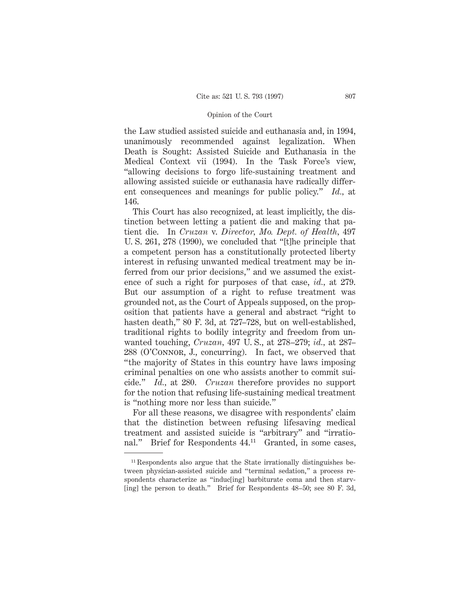the Law studied assisted suicide and euthanasia and, in 1994, unanimously recommended against legalization. When Death is Sought: Assisted Suicide and Euthanasia in the Medical Context vii (1994). In the Task Force's view, "allowing decisions to forgo life-sustaining treatment and allowing assisted suicide or euthanasia have radically different consequences and meanings for public policy." *Id.,* at 146.

This Court has also recognized, at least implicitly, the distinction between letting a patient die and making that patient die. In *Cruzan* v. *Director, Mo. Dept. of Health,* 497 U. S. 261, 278 (1990), we concluded that "[t]he principle that a competent person has a constitutionally protected liberty interest in refusing unwanted medical treatment may be inferred from our prior decisions," and we assumed the existence of such a right for purposes of that case, *id.,* at 279. But our assumption of a right to refuse treatment was grounded not, as the Court of Appeals supposed, on the proposition that patients have a general and abstract "right to hasten death," 80 F. 3d, at 727–728, but on well-established, traditional rights to bodily integrity and freedom from unwanted touching, *Cruzan,* 497 U. S., at 278–279; *id.,* at 287– 288 (O'Connor, J., concurring). In fact, we observed that "the majority of States in this country have laws imposing criminal penalties on one who assists another to commit suicide." *Id.,* at 280. *Cruzan* therefore provides no support for the notion that refusing life-sustaining medical treatment is "nothing more nor less than suicide."

For all these reasons, we disagree with respondents' claim that the distinction between refusing lifesaving medical treatment and assisted suicide is "arbitrary" and "irrational." Brief for Respondents 44.<sup>11</sup> Granted, in some cases,

<sup>11</sup> Respondents also argue that the State irrationally distinguishes between physician-assisted suicide and "terminal sedation," a process respondents characterize as "induc[ing] barbiturate coma and then starv- [ing] the person to death." Brief for Respondents 48–50; see 80 F. 3d,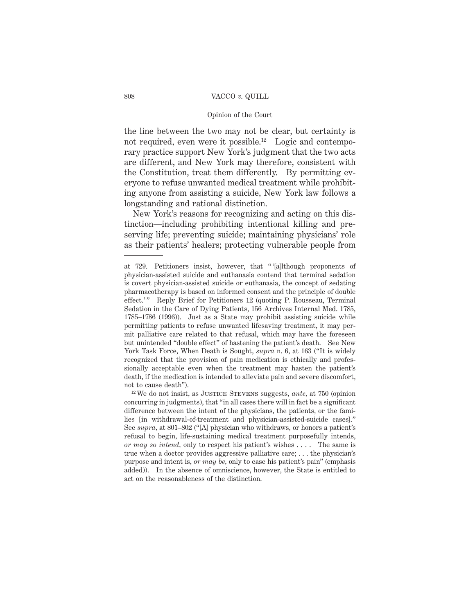# Opinion of the Court

the line between the two may not be clear, but certainty is not required, even were it possible.<sup>12</sup> Logic and contemporary practice support New York's judgment that the two acts are different, and New York may therefore, consistent with the Constitution, treat them differently. By permitting everyone to refuse unwanted medical treatment while prohibiting anyone from assisting a suicide, New York law follows a longstanding and rational distinction.

New York's reasons for recognizing and acting on this distinction—including prohibiting intentional killing and preserving life; preventing suicide; maintaining physicians' role as their patients' healers; protecting vulnerable people from

<sup>12</sup> We do not insist, as JUSTICE STEVENS suggests, ante, at 750 (opinion concurring in judgments), that "in all cases there will in fact be a significant difference between the intent of the physicians, the patients, or the families [in withdrawal-of-treatment and physician-assisted-suicide cases]." See *supra,* at 801–802 ("[A] physician who withdraws, or honors a patient's refusal to begin, life-sustaining medical treatment purposefully intends, *or may so intend,* only to respect his patient's wishes . . . . The same is true when a doctor provides aggressive palliative care; . . . the physician's purpose and intent is, *or may be,* only to ease his patient's pain" (emphasis added)). In the absence of omniscience, however, the State is entitled to act on the reasonableness of the distinction.

at 729. Petitioners insist, however, that " '[a]lthough proponents of physician-assisted suicide and euthanasia contend that terminal sedation is covert physician-assisted suicide or euthanasia, the concept of sedating pharmacotherapy is based on informed consent and the principle of double effect.'" Reply Brief for Petitioners 12 (quoting P. Rousseau, Terminal Sedation in the Care of Dying Patients, 156 Archives Internal Med. 1785, 1785–1786 (1996)). Just as a State may prohibit assisting suicide while permitting patients to refuse unwanted lifesaving treatment, it may permit palliative care related to that refusal, which may have the foreseen but unintended "double effect" of hastening the patient's death. See New York Task Force, When Death is Sought, *supra* n. 6, at 163 ("It is widely recognized that the provision of pain medication is ethically and professionally acceptable even when the treatment may hasten the patient's death, if the medication is intended to alleviate pain and severe discomfort, not to cause death").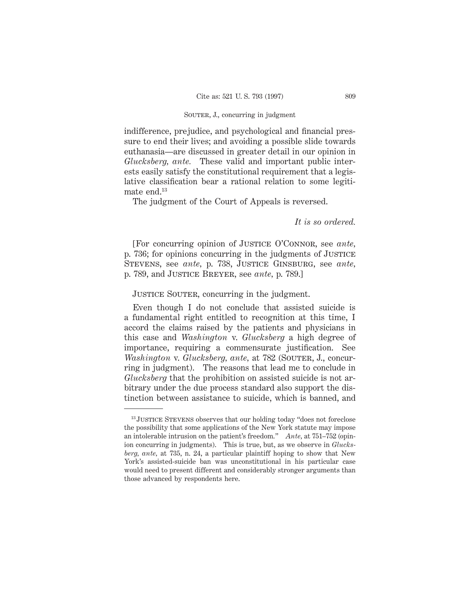# SOUTER, J., concurring in judgment

indifference, prejudice, and psychological and financial pressure to end their lives; and avoiding a possible slide towards euthanasia—are discussed in greater detail in our opinion in *Glucksberg, ante.* These valid and important public interests easily satisfy the constitutional requirement that a legislative classification bear a rational relation to some legitimate end.13

The judgment of the Court of Appeals is reversed.

*It is so ordered.*

[For concurring opinion of Justice O'Connor, see *ante,* p. 736; for opinions concurring in the judgments of Justice Stevens, see *ante,* p. 738, Justice Ginsburg, see *ante,* p. 789, and Justice Breyer, see *ante,* p. 789.]

# JUSTICE SOUTER, concurring in the judgment.

Even though I do not conclude that assisted suicide is a fundamental right entitled to recognition at this time, I accord the claims raised by the patients and physicians in this case and *Washington* v. *Glucksberg* a high degree of importance, requiring a commensurate justification. See *Washington* v. *Glucksberg, ante,* at 782 (SOUTER, J., concurring in judgment). The reasons that lead me to conclude in *Glucksberg* that the prohibition on assisted suicide is not arbitrary under the due process standard also support the distinction between assistance to suicide, which is banned, and

<sup>&</sup>lt;sup>13</sup> JUSTICE STEVENS observes that our holding today "does not foreclose the possibility that some applications of the New York statute may impose an intolerable intrusion on the patient's freedom." *Ante,* at 751–752 (opinion concurring in judgments). This is true, but, as we observe in *Glucksberg, ante,* at 735, n. 24, a particular plaintiff hoping to show that New York's assisted-suicide ban was unconstitutional in his particular case would need to present different and considerably stronger arguments than those advanced by respondents here.